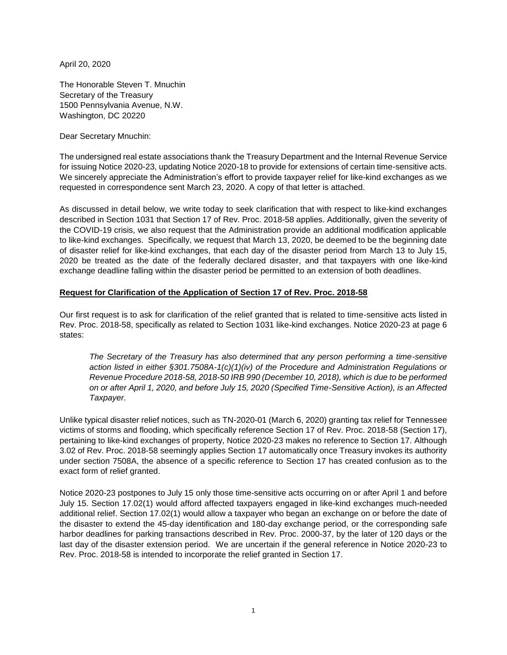April 20, 2020

The Honorable Steven T. Mnuchin Secretary of the Treasury 1500 Pennsylvania Avenue, N.W. Washington, DC 20220

Dear Secretary Mnuchin:

The undersigned real estate associations thank the Treasury Department and the Internal Revenue Service for issuing Notice 2020-23, updating Notice 2020-18 to provide for extensions of certain time-sensitive acts. We sincerely appreciate the Administration's effort to provide taxpayer relief for like-kind exchanges as we requested in correspondence sent March 23, 2020. A copy of that letter is attached.

As discussed in detail below, we write today to seek clarification that with respect to like-kind exchanges described in Section 1031 that Section 17 of Rev. Proc. 2018-58 applies. Additionally, given the severity of the COVID-19 crisis, we also request that the Administration provide an additional modification applicable to like-kind exchanges. Specifically, we request that March 13, 2020, be deemed to be the beginning date of disaster relief for like-kind exchanges, that each day of the disaster period from March 13 to July 15, 2020 be treated as the date of the federally declared disaster, and that taxpayers with one like-kind exchange deadline falling within the disaster period be permitted to an extension of both deadlines.

# **Request for Clarification of the Application of Section 17 of Rev. Proc. 2018-58**

Our first request is to ask for clarification of the relief granted that is related to time-sensitive acts listed in Rev. Proc. 2018-58, specifically as related to Section 1031 like-kind exchanges. Notice 2020-23 at page 6 states:

*The Secretary of the Treasury has also determined that any person performing a time-sensitive action listed in either §301.7508A-1(c)(1)(iv) of the Procedure and Administration Regulations or Revenue Procedure 2018-58, 2018-50 IRB 990 (December 10, 2018), which is due to be performed on or after April 1, 2020, and before July 15, 2020 (Specified Time-Sensitive Action), is an Affected Taxpayer.*

Unlike typical disaster relief notices, such as TN-2020-01 (March 6, 2020) granting tax relief for Tennessee victims of storms and flooding, which specifically reference Section 17 of Rev. Proc. 2018-58 (Section 17), pertaining to like-kind exchanges of property, Notice 2020-23 makes no reference to Section 17. Although 3.02 of Rev. Proc. 2018-58 seemingly applies Section 17 automatically once Treasury invokes its authority under section 7508A, the absence of a specific reference to Section 17 has created confusion as to the exact form of relief granted.

Notice 2020-23 postpones to July 15 only those time-sensitive acts occurring on or after April 1 and before July 15. Section 17.02(1) would afford affected taxpayers engaged in like-kind exchanges much-needed additional relief. Section 17.02(1) would allow a taxpayer who began an exchange on or before the date of the disaster to extend the 45-day identification and 180-day exchange period, or the corresponding safe harbor deadlines for parking transactions described in Rev. Proc. 2000-37, by the later of 120 days or the last day of the disaster extension period. We are uncertain if the general reference in Notice 2020-23 to Rev. Proc. 2018-58 is intended to incorporate the relief granted in Section 17.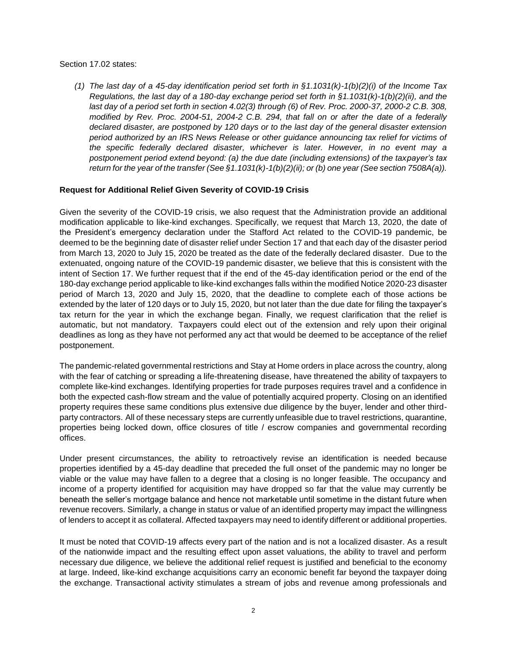### Section 17.02 states:

*(1) The last day of a 45-day identification period set forth in §1.1031(k)-1(b)(2)(i) of the Income Tax Regulations, the last day of a 180-day exchange period set forth in §1.1031(k)-1(b)(2)(ii), and the last day of a period set forth in section 4.02(3) through (6) of Rev. Proc. 2000-37, 2000-2 C.B. 308, modified by Rev. Proc. 2004-51, 2004-2 C.B. 294, that fall on or after the date of a federally declared disaster, are postponed by 120 days or to the last day of the general disaster extension period authorized by an IRS News Release or other guidance announcing tax relief for victims of the specific federally declared disaster, whichever is later. However, in no event may a postponement period extend beyond: (a) the due date (including extensions) of the taxpayer's tax return for the year of the transfer (See §1.1031(k)-1(b)(2)(ii); or (b) one year (See section 7508A(a)).*

### **Request for Additional Relief Given Severity of COVID-19 Crisis**

Given the severity of the COVID-19 crisis, we also request that the Administration provide an additional modification applicable to like-kind exchanges. Specifically, we request that March 13, 2020, the date of the President's emergency declaration under the Stafford Act related to the COVID-19 pandemic, be deemed to be the beginning date of disaster relief under Section 17 and that each day of the disaster period from March 13, 2020 to July 15, 2020 be treated as the date of the federally declared disaster. Due to the extenuated, ongoing nature of the COVID-19 pandemic disaster, we believe that this is consistent with the intent of Section 17. We further request that if the end of the 45-day identification period or the end of the 180-day exchange period applicable to like-kind exchanges falls within the modified Notice 2020-23 disaster period of March 13, 2020 and July 15, 2020, that the deadline to complete each of those actions be extended by the later of 120 days or to July 15, 2020, but not later than the due date for filing the taxpayer's tax return for the year in which the exchange began. Finally, we request clarification that the relief is automatic, but not mandatory. Taxpayers could elect out of the extension and rely upon their original deadlines as long as they have not performed any act that would be deemed to be acceptance of the relief postponement.

The pandemic-related governmental restrictions and Stay at Home orders in place across the country, along with the fear of catching or spreading a life-threatening disease, have threatened the ability of taxpayers to complete like-kind exchanges. Identifying properties for trade purposes requires travel and a confidence in both the expected cash-flow stream and the value of potentially acquired property. Closing on an identified property requires these same conditions plus extensive due diligence by the buyer, lender and other thirdparty contractors. All of these necessary steps are currently unfeasible due to travel restrictions, quarantine, properties being locked down, office closures of title / escrow companies and governmental recording offices.

Under present circumstances, the ability to retroactively revise an identification is needed because properties identified by a 45-day deadline that preceded the full onset of the pandemic may no longer be viable or the value may have fallen to a degree that a closing is no longer feasible. The occupancy and income of a property identified for acquisition may have dropped so far that the value may currently be beneath the seller's mortgage balance and hence not marketable until sometime in the distant future when revenue recovers. Similarly, a change in status or value of an identified property may impact the willingness of lenders to accept it as collateral. Affected taxpayers may need to identify different or additional properties.

It must be noted that COVID-19 affects every part of the nation and is not a localized disaster. As a result of the nationwide impact and the resulting effect upon asset valuations, the ability to travel and perform necessary due diligence, we believe the additional relief request is justified and beneficial to the economy at large. Indeed, like-kind exchange acquisitions carry an economic benefit far beyond the taxpayer doing the exchange. Transactional activity stimulates a stream of jobs and revenue among professionals and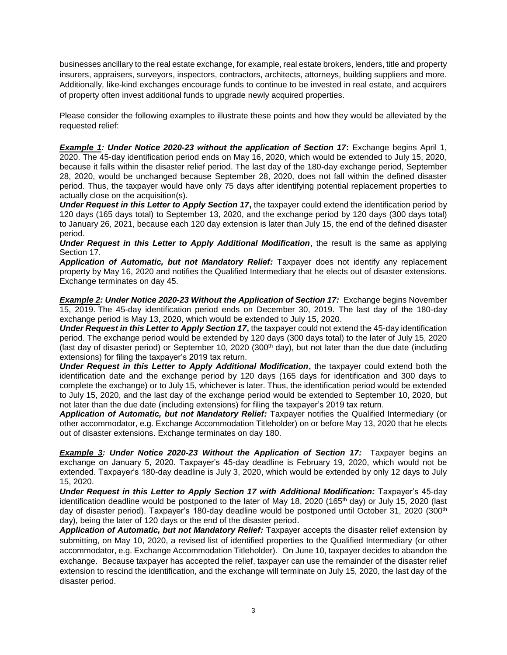businesses ancillary to the real estate exchange, for example, real estate brokers, lenders, title and property insurers, appraisers, surveyors, inspectors, contractors, architects, attorneys, building suppliers and more. Additionally, like-kind exchanges encourage funds to continue to be invested in real estate, and acquirers of property often invest additional funds to upgrade newly acquired properties.

Please consider the following examples to illustrate these points and how they would be alleviated by the requested relief:

**Example 1: Under Notice 2020-23 without the application of Section 17: Exchange begins April 1,** 2020. The 45-day identification period ends on May 16, 2020, which would be extended to July 15, 2020, because it falls within the disaster relief period. The last day of the 180-day exchange period, September 28, 2020, would be unchanged because September 28, 2020, does not fall within the defined disaster period. Thus, the taxpayer would have only 75 days after identifying potential replacement properties to actually close on the acquisition(s).

*Under Request in this Letter to Apply Section 17***,** the taxpayer could extend the identification period by 120 days (165 days total) to September 13, 2020, and the exchange period by 120 days (300 days total) to January 26, 2021, because each 120 day extension is later than July 15, the end of the defined disaster period.

*Under Request in this Letter to Apply Additional Modification*, the result is the same as applying Section 17.

*Application of Automatic, but not Mandatory Relief:* Taxpayer does not identify any replacement property by May 16, 2020 and notifies the Qualified Intermediary that he elects out of disaster extensions. Exchange terminates on day 45.

*Example 2: Under Notice 2020-23 Without the Application of Section 17:* Exchange begins November 15, 2019. The 45-day identification period ends on December 30, 2019. The last day of the 180-day exchange period is May 13, 2020, which would be extended to July 15, 2020.

*Under Request in this Letter to Apply Section 17***,** the taxpayer could not extend the 45-day identification period. The exchange period would be extended by 120 days (300 days total) to the later of July 15, 2020 (last day of disaster period) or September 10, 2020 (300<sup>th</sup> day), but not later than the due date (including extensions) for filing the taxpayer's 2019 tax return.

*Under Request in this Letter to Apply Additional Modification***,** the taxpayer could extend both the identification date and the exchange period by 120 days (165 days for identification and 300 days to complete the exchange) or to July 15, whichever is later. Thus, the identification period would be extended to July 15, 2020, and the last day of the exchange period would be extended to September 10, 2020, but not later than the due date (including extensions) for filing the taxpayer's 2019 tax return.

*Application of Automatic, but not Mandatory Relief:* Taxpayer notifies the Qualified Intermediary (or other accommodator, e.g. Exchange Accommodation Titleholder) on or before May 13, 2020 that he elects out of disaster extensions. Exchange terminates on day 180.

*Example 3: Under Notice 2020-23 Without the Application of Section 17:* Taxpayer begins an exchange on January 5, 2020. Taxpayer's 45-day deadline is February 19, 2020, which would not be extended. Taxpayer's 180-day deadline is July 3, 2020, which would be extended by only 12 days to July 15, 2020.

*Under Request in this Letter to Apply Section 17 with Additional Modification:* Taxpayer's 45-day identification deadline would be postponed to the later of May 18, 2020 (165<sup>th</sup> day) or July 15, 2020 (last day of disaster period). Taxpayer's 180-day deadline would be postponed until October 31, 2020 (300<sup>th</sup> day), being the later of 120 days or the end of the disaster period.

*Application of Automatic, but not Mandatory Relief:* Taxpayer accepts the disaster relief extension by submitting, on May 10, 2020, a revised list of identified properties to the Qualified Intermediary (or other accommodator, e.g. Exchange Accommodation Titleholder). On June 10, taxpayer decides to abandon the exchange. Because taxpayer has accepted the relief, taxpayer can use the remainder of the disaster relief extension to rescind the identification, and the exchange will terminate on July 15, 2020, the last day of the disaster period.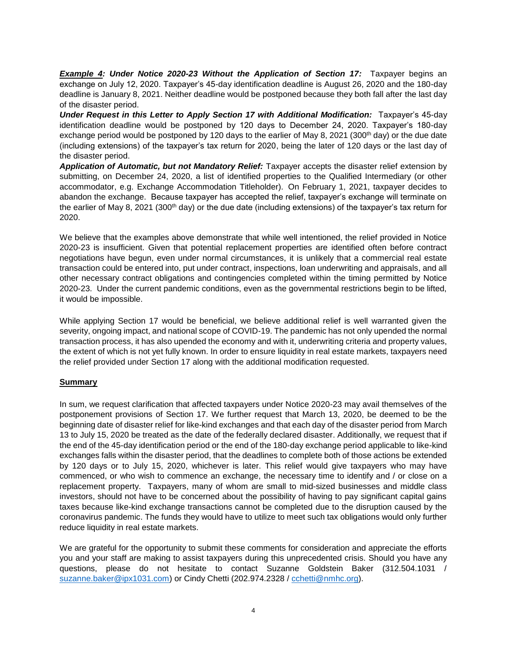*Example 4: Under Notice 2020-23 Without the Application of Section 17:* Taxpayer begins an exchange on July 12, 2020. Taxpayer's 45-day identification deadline is August 26, 2020 and the 180-day deadline is January 8, 2021. Neither deadline would be postponed because they both fall after the last day of the disaster period.

*Under Request in this Letter to Apply Section 17 with Additional Modification:* Taxpayer's 45-day identification deadline would be postponed by 120 days to December 24, 2020. Taxpayer's 180-day exchange period would be postponed by 120 days to the earlier of May 8, 2021 (300<sup>th</sup> day) or the due date (including extensions) of the taxpayer's tax return for 2020, being the later of 120 days or the last day of the disaster period.

*Application of Automatic, but not Mandatory Relief:* Taxpayer accepts the disaster relief extension by submitting, on December 24, 2020, a list of identified properties to the Qualified Intermediary (or other accommodator, e.g. Exchange Accommodation Titleholder). On February 1, 2021, taxpayer decides to abandon the exchange. Because taxpayer has accepted the relief, taxpayer's exchange will terminate on the earlier of May 8, 2021 (300<sup>th</sup> day) or the due date (including extensions) of the taxpayer's tax return for 2020.

We believe that the examples above demonstrate that while well intentioned, the relief provided in Notice 2020-23 is insufficient. Given that potential replacement properties are identified often before contract negotiations have begun, even under normal circumstances, it is unlikely that a commercial real estate transaction could be entered into, put under contract, inspections, loan underwriting and appraisals, and all other necessary contract obligations and contingencies completed within the timing permitted by Notice 2020-23. Under the current pandemic conditions, even as the governmental restrictions begin to be lifted, it would be impossible.

While applying Section 17 would be beneficial, we believe additional relief is well warranted given the severity, ongoing impact, and national scope of COVID-19. The pandemic has not only upended the normal transaction process, it has also upended the economy and with it, underwriting criteria and property values, the extent of which is not yet fully known. In order to ensure liquidity in real estate markets, taxpayers need the relief provided under Section 17 along with the additional modification requested.

# **Summary**

In sum, we request clarification that affected taxpayers under Notice 2020-23 may avail themselves of the postponement provisions of Section 17. We further request that March 13, 2020, be deemed to be the beginning date of disaster relief for like-kind exchanges and that each day of the disaster period from March 13 to July 15, 2020 be treated as the date of the federally declared disaster. Additionally, we request that if the end of the 45-day identification period or the end of the 180-day exchange period applicable to like-kind exchanges falls within the disaster period, that the deadlines to complete both of those actions be extended by 120 days or to July 15, 2020, whichever is later. This relief would give taxpayers who may have commenced, or who wish to commence an exchange, the necessary time to identify and / or close on a replacement property. Taxpayers, many of whom are small to mid-sized businesses and middle class investors, should not have to be concerned about the possibility of having to pay significant capital gains taxes because like-kind exchange transactions cannot be completed due to the disruption caused by the coronavirus pandemic. The funds they would have to utilize to meet such tax obligations would only further reduce liquidity in real estate markets.

We are grateful for the opportunity to submit these comments for consideration and appreciate the efforts you and your staff are making to assist taxpayers during this unprecedented crisis. Should you have any questions, please do not hesitate to contact Suzanne Goldstein Baker (312.504.1031 / [suzanne.baker@ipx1031.com\)](mailto:suzanne.baker@ipx1031.com) or Cindy Chetti (202.974.2328 / [cchetti@nmhc.org\)](mailto:cchetti@nmhc.org).